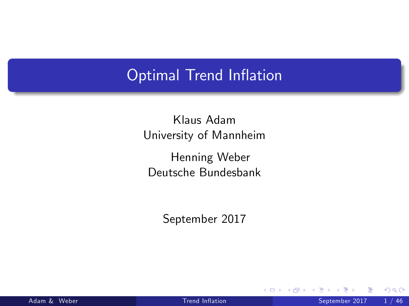### Optimal Trend Inflation

Klaus Adam University of Mannheim

Henning Weber Deutsche Bundesbank

September 2017

<span id="page-0-0"></span>4 0 8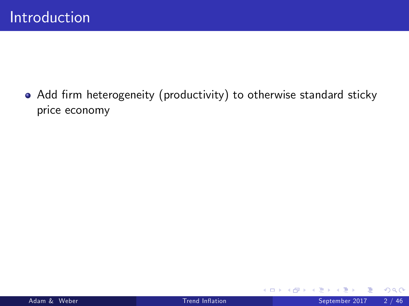• Add firm heterogeneity (productivity) to otherwise standard sticky price economy

4 0 8

 $QQ$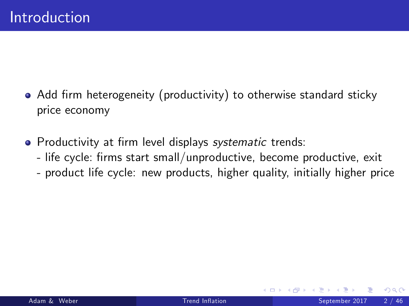- Add firm heterogeneity (productivity) to otherwise standard sticky price economy
- Productivity at firm level displays systematic trends:
	- life cycle: firms start small/unproductive, become productive, exit
	- product life cycle: new products, higher quality, initially higher price

つひひ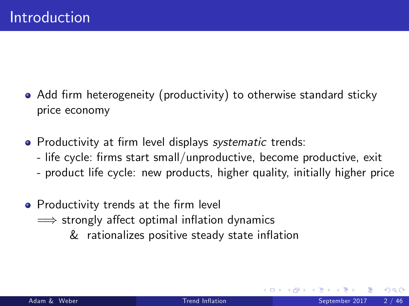- Add firm heterogeneity (productivity) to otherwise standard sticky price economy
- Productivity at firm level displays systematic trends:
	- life cycle: firms start small/unproductive, become productive, exit
	- product life cycle: new products, higher quality, initially higher price
- Productivity trends at the firm level
	- $\implies$  strongly affect optimal inflation dynamics
		- $&$  rationalizes positive steady state inflation

つひひ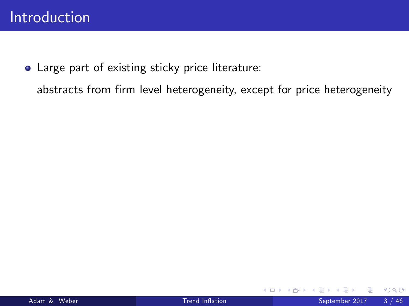Large part of existing sticky price literature:

abstracts from firm level heterogeneity, except for price heterogeneity

4 0 8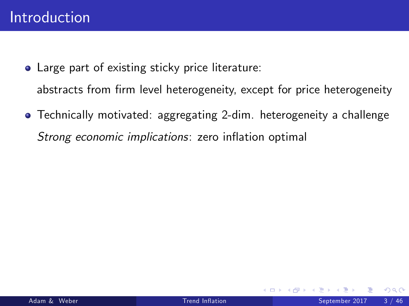- Large part of existing sticky price literature: abstracts from firm level heterogeneity, except for price heterogeneity
- Technically motivated: aggregating 2-dim. heterogeneity a challenge Strong economic implications: zero inflation optimal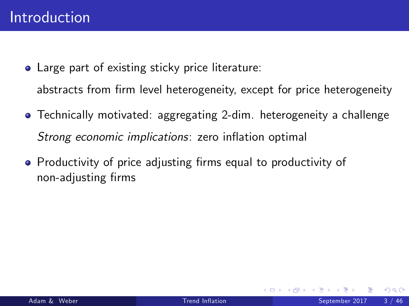- Large part of existing sticky price literature: abstracts from firm level heterogeneity, except for price heterogeneity
- Technically motivated: aggregating 2-dim. heterogeneity a challenge Strong economic implications: zero inflation optimal
- Productivity of price adjusting firms equal to productivity of non-adjusting firms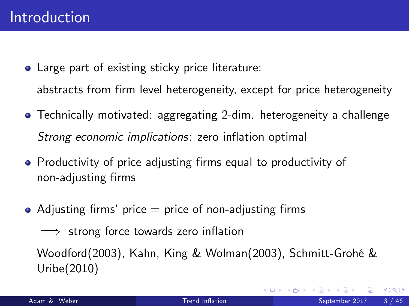- Large part of existing sticky price literature: abstracts from firm level heterogeneity, except for price heterogeneity
- Technically motivated: aggregating 2-dim. heterogeneity a challenge Strong economic implications: zero inflation optimal
- Productivity of price adjusting firms equal to productivity of non-adjusting firms
- Adjusting firms' price  $=$  price of non-adjusting firms



Woodford(2003), Kahn, King & Wolman(2003), Schmitt-GrohÈ & Uribe(2010)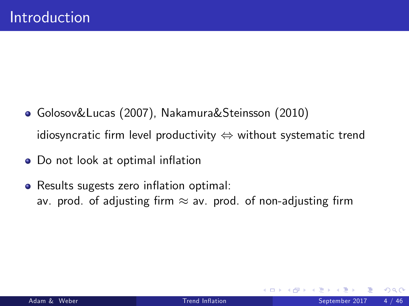- Golosov&Lucas (2007), Nakamura&Steinsson (2010) idiosyncratic firm level productivity  $\Leftrightarrow$  without systematic trend
- Do not look at optimal inflation
- Results sugests zero inflation optimal: av. prod. of adjusting firm  $\approx$  av. prod. of non-adjusting firm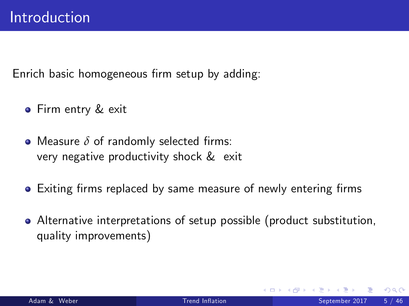Enrich basic homogeneous firm setup by adding:

- **•** Firm entry & exit
- Measure  $\delta$  of randomly selected firms: very negative productivity shock & exit
- Exiting firms replaced by same measure of newly entering firms
- Alternative interpretations of setup possible (product substitution, quality improvements)

つひひ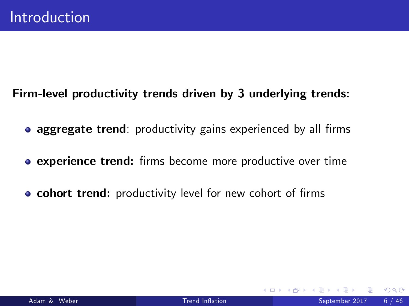#### Firm-level productivity trends driven by 3 underlying trends:

- aggregate trend: productivity gains experienced by all firms
- **experience trend:** firms become more productive over time
- **o cohort trend:** productivity level for new cohort of firms

<span id="page-10-0"></span>4 0 8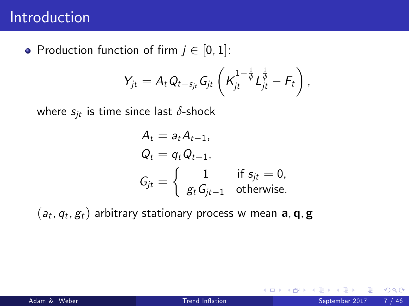• Production function of firm  $j \in [0, 1]$ :

$$
Y_{jt} = A_t Q_{t-s_{jt}} G_{jt} \left( K_{jt}^{1-\frac{1}{\phi}} L_{jt}^{\frac{1}{\phi}} - F_t \right),
$$

where  $s_{it}$  is time since last  $\delta$ -shock

$$
A_t = a_t A_{t-1},
$$
  
\n
$$
Q_t = q_t Q_{t-1},
$$
  
\n
$$
G_{jt} = \begin{cases} 1 & \text{if } s_{jt} = 0, \\ g_t G_{jt-1} & \text{otherwise.} \end{cases}
$$

 $\left( \textit{a}_t, q_t, g_t \right)$  arbitrary stationary process w mean  $\textbf{a}, \textbf{q}, \textbf{g}$ 

<span id="page-11-0"></span>4 0 8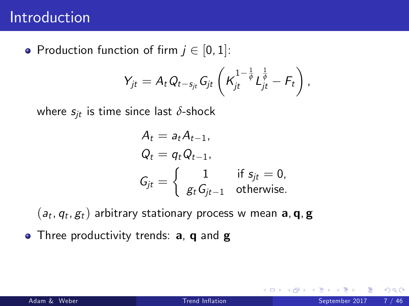• Production function of firm  $j \in [0, 1]$ :

$$
Y_{jt} = A_t Q_{t-s_{jt}} G_{jt} \left( K_{jt}^{1-\frac{1}{\phi}} L_{jt}^{\frac{1}{\phi}} - F_t \right),
$$

where  $s_{it}$  is time since last  $\delta$ -shock

$$
A_t = a_t A_{t-1},
$$
  
\n
$$
Q_t = q_t Q_{t-1},
$$
  
\n
$$
G_{jt} = \begin{cases} 1 & \text{if } s_{jt} = 0, \\ g_t G_{jt-1} & \text{otherwise.} \end{cases}
$$

 $\left( \textit{a}_t, q_t, g_t \right)$  arbitrary stationary process w mean  $\textbf{a}, \textbf{q}, \textbf{g}$ 

• Three productivity trends: **a**, **q** and **g**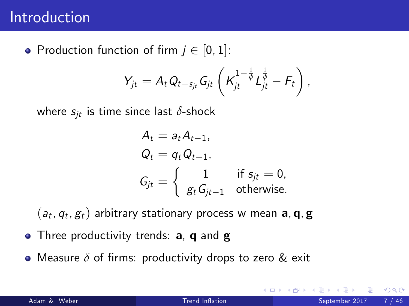• Production function of firm  $j \in [0, 1]$ :

$$
Y_{jt} = A_t Q_{t-s_{jt}} G_{jt} \left( K_{jt}^{1-\frac{1}{\phi}} L_{jt}^{\frac{1}{\phi}} - F_t \right),
$$

where  $s_{it}$  is time since last  $\delta$ -shock

$$
A_t = a_t A_{t-1},
$$
  
\n
$$
Q_t = q_t Q_{t-1},
$$
  
\n
$$
G_{jt} = \begin{cases} 1 & \text{if } s_{jt} = 0, \\ g_t G_{jt-1} & \text{otherwise.} \end{cases}
$$

 $\left( \textit{a}_t, q_t, g_t \right)$  arbitrary stationary process w mean  $\textbf{a}, \textbf{q}, \textbf{g}$ 

- Three productivity trends: **a**, **q** and **g**
- **•** Measure *δ* of firms: productivity drops to zero & exit

<span id="page-13-0"></span>つひひ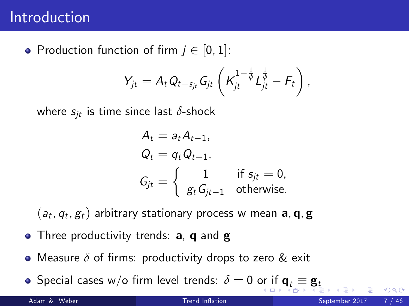• Production function of firm  $j \in [0, 1]$ :

$$
Y_{jt} = A_t Q_{t-s_{jt}} G_{jt} \left( K_{jt}^{1-\frac{1}{\phi}} L_{jt}^{\frac{1}{\phi}} - F_t \right),
$$

where  $s_{it}$  is time since last  $\delta$ -shock

<span id="page-14-0"></span>
$$
A_t = a_t A_{t-1},
$$
  
\n
$$
Q_t = q_t Q_{t-1},
$$
  
\n
$$
G_{jt} = \begin{cases} 1 & \text{if } s_{jt} = 0, \\ g_t G_{jt-1} & \text{otherwise.} \end{cases}
$$

 $\left( \textit{a}_t, q_t, g_t \right)$  arbitrary stationary process w mean  $\textbf{a}, \textbf{q}, \textbf{g}$ 

- Three productivity trends: **a**, **q** and **g**
- **•** Measure *δ* of firms: productivity drops to zero & exit
- $\bullet$  $\bullet$  Special cases w/o firm level trends:  $\delta = 0$  [or](#page-13-0) if  $\mathbf{q}_t \equiv \mathbf{g}_t$  $\mathbf{q}_t \equiv \mathbf{g}_t$  $\mathbf{q}_t \equiv \mathbf{g}_t$  $\mathbf{q}_t \equiv \mathbf{g}_t$  $\mathbf{q}_t \equiv \mathbf{g}_t$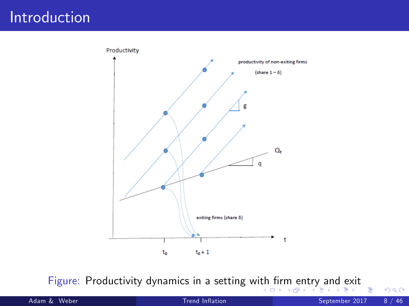

Figure: Productivity dynamics in a setting wi[th](#page-14-0) fir[m](#page-14-0) [e](#page-15-0)[nt](#page-16-0)[ry](#page-0-0) [an](#page-89-0)[d](#page-0-0) [exi](#page-89-0)[t](#page-0-0)

14.

<span id="page-15-0"></span>画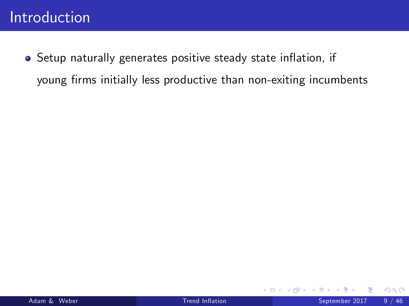**•** Setup naturally generates positive steady state inflation, if young firms initially less productive than non-exiting incumbents

<span id="page-16-0"></span>4 0 8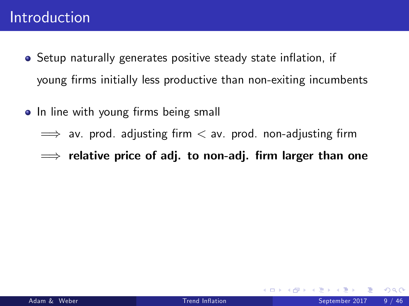- **•** Setup naturally generates positive steady state inflation, if young firms initially less productive than non-exiting incumbents
- In line with young firms being small
	- $\implies$  av. prod. adjusting firm  $\lt$  av. prod. non-adjusting firm
	- $\implies$  relative price of adj. to non-adj. firm larger than one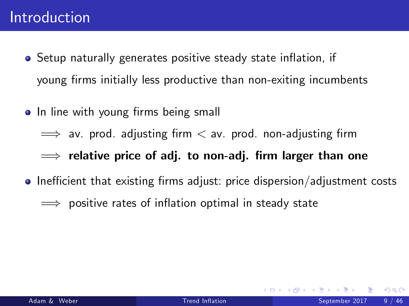- **•** Setup naturally generates positive steady state inflation, if young firms initially less productive than non-exiting incumbents
- In line with young firms being small

 $\implies$  av. prod. adjusting firm  $\lt$  av. prod. non-adjusting firm

 $\implies$  relative price of adj. to non-adj. firm larger than one

 $\bullet$  Inefficient that existing firms adjust: price dispersion/adjustment costs

positive rates of inflation optimal in steady state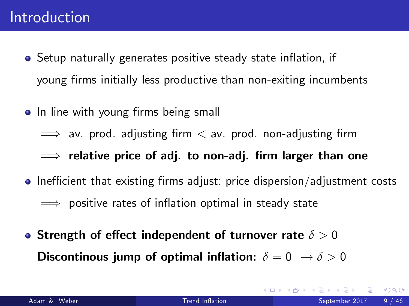- **•** Setup naturally generates positive steady state inflation, if young firms initially less productive than non-exiting incumbents
- In line with young firms being small

 $\implies$  av. prod. adjusting firm  $\lt$  av. prod. non-adjusting firm

 $\implies$  relative price of adj. to non-adj. firm larger than one

- $\bullet$  Inefficient that existing firms adjust: price dispersion/adjustment costs  $\implies$  positive rates of inflation optimal in steady state
- **Strength of effect independent of turnover rate**  $\delta > 0$ Discontinous jump of optimal inflation:  $\delta = 0 \rightarrow \delta > 0$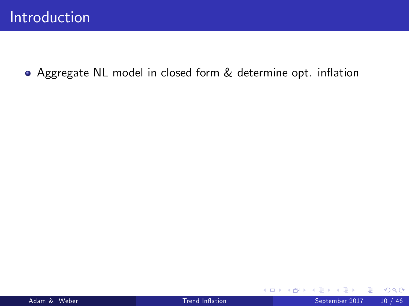Aggregate NL model in closed form & determine opt. ináation

э

 $298$ 

**K ロ ト イ ト**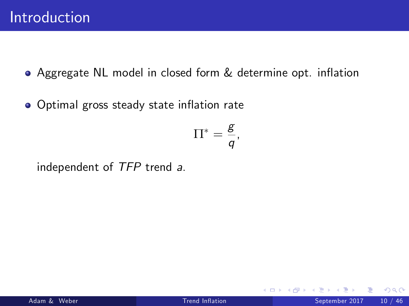Aggregate NL model in closed form & determine opt. ináation

• Optimal gross steady state inflation rate

$$
\Pi^*=\frac{g}{q},
$$

independent of TFP trend a.

4 0 8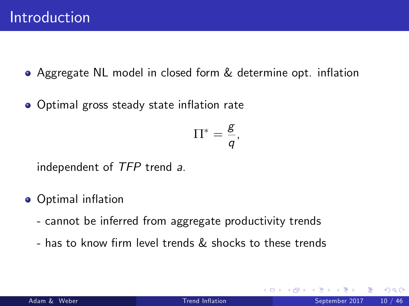**•** Aggregate NL model in closed form & determine opt. inflation

• Optimal gross steady state inflation rate

$$
\Pi^*=\frac{\textstyle g}{\textstyle q},
$$

independent of TFP trend a.

- **•** Optimal inflation
	- cannot be inferred from aggregate productivity trends
	- has to know firm level trends & shocks to these trends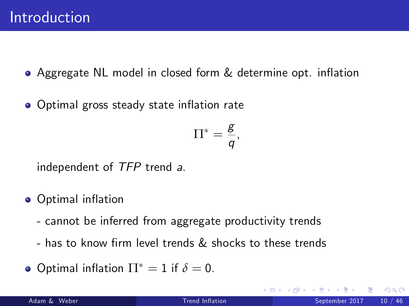**•** Aggregate NL model in closed form & determine opt. inflation

• Optimal gross steady state inflation rate

$$
\Pi^*=\frac{\textstyle g}{\textstyle q},
$$

independent of TFP trend a.

- **•** Optimal inflation
	- cannot be inferred from aggregate productivity trends
	- has to know Örm level trends & shocks to these trends
- Optimal inflation  $\Pi^* = 1$  if  $\delta = 0$ .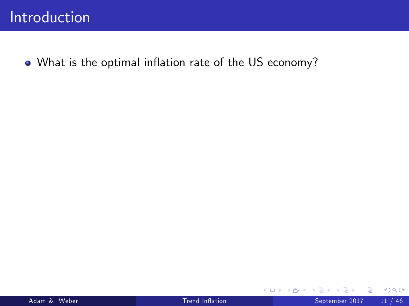. What is the optimal inflation rate of the US economy?

Þ

**K ロ ト イ ト**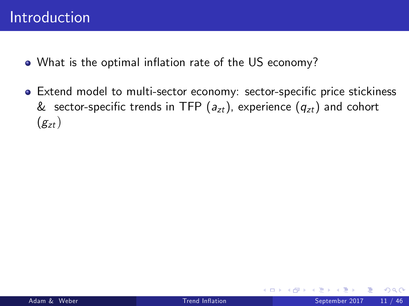- What is the optimal inflation rate of the US economy?
- Extend model to multi-sector economy: sector-specific price stickiness & sector-specific trends in TFP  $(a_{zt})$ , experience  $(q_{zt})$  and cohort  $(g_{zt})$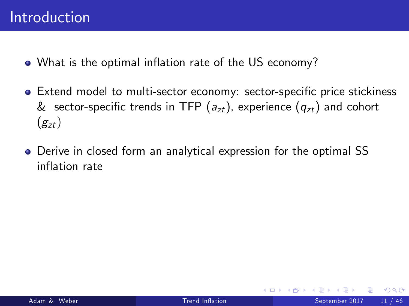- What is the optimal inflation rate of the US economy?
- Extend model to multi-sector economy: sector-specific price stickiness & sector-specific trends in TFP  $(a_{zt})$ , experience  $(q_{zt})$  and cohort  $(g_{zt})$
- Derive in closed form an analytical expression for the optimal SS inflation rate

つひひ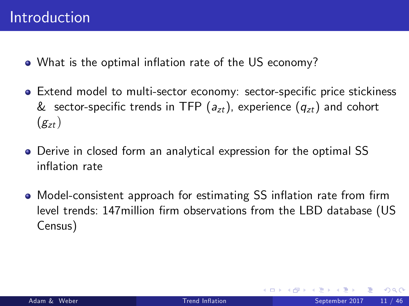- What is the optimal inflation rate of the US economy?
- Extend model to multi-sector economy: sector-specific price stickiness & sector-specific trends in TFP ( $a_{zt}$ ), experience ( $q_{zt}$ ) and cohort  $(g_{zt})$
- Derive in closed form an analytical expression for the optimal SS inflation rate
- $\bullet$  Model-consistent approach for estimating SS inflation rate from firm level trends: 147 million firm observations from the LBD database (US Census)

つへへ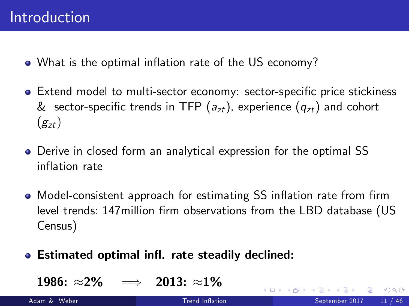- . What is the optimal inflation rate of the US economy?
- Extend model to multi-sector economy: sector-specific price stickiness & sector-specific trends in TFP  $(a_{zt})$ , experience  $(q_{zt})$  and cohort  $(g_{zt})$
- Derive in closed form an analytical expression for the optimal SS inflation rate
- Model-consistent approach for estimating SS inflation rate from firm level trends: 147 million firm observations from the LBD database (US Census)
- Estimated optimal infl. rate steadily declined:

1986:  $\approx$ 2%  $\implies$  2013:  $\approx$ 1%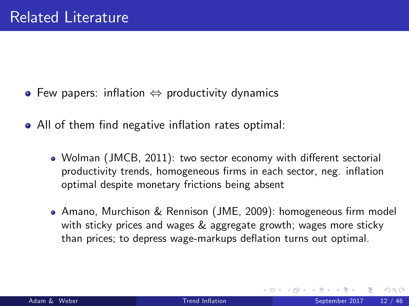- $\bullet$  Few papers: inflation  $\Leftrightarrow$  productivity dynamics
- All of them find negative inflation rates optimal:
	- $\bullet$  Wolman (JMCB, 2011): two sector economy with different sectorial productivity trends, homogeneous firms in each sector, neg. inflation optimal despite monetary frictions being absent
	- Amano, Murchison & Rennison (JME, 2009): homogeneous firm model with sticky prices and wages & aggregate growth; wages more sticky than prices; to depress wage-markups deflation turns out optimal.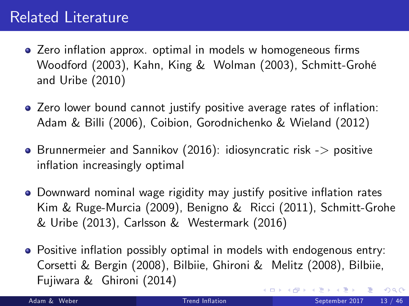## Related Literature

- Zero inflation approx. optimal in models w homogeneous firms Woodford (2003), Kahn, King & Wolman (2003), Schmitt-GrohÈ and Uribe (2010)
- Zero lower bound cannot justify positive average rates of inflation: Adam & Billi (2006), Coibion, Gorodnichenko & Wieland (2012)
- $\bullet$  Brunnermeier and Sannikov (2016): idiosyncratic risk  $\bullet$  positive inflation increasingly optimal
- Downward nominal wage rigidity may justify positive inflation rates Kim & Ruge-Murcia (2009), Benigno & Ricci (2011), Schmitt-Grohe & Uribe (2013), Carlsson & Westermark (2016)
- Positive inflation possibly optimal in models with endogenous entry: Corsetti & Bergin (2008), Bilbiie, Ghironi & Melitz (2008), Bilbiie, Fujiwara & Ghironi (2014)  $\Omega$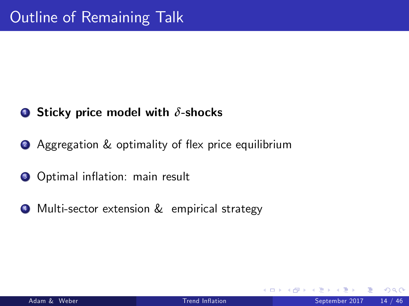#### **1** Sticky price model with  $\delta$ -shocks

- 2 Aggregation & optimality of flex price equilibrium
- <sup>3</sup> Optimal inflation: main result
- <sup>4</sup> Multi-sector extension & empirical strategy

 $\leftarrow$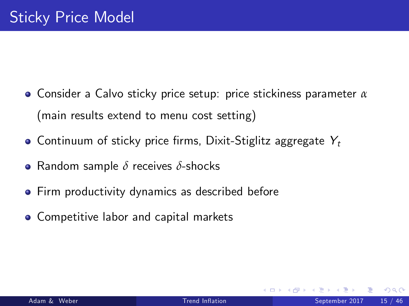- Consider a Calvo sticky price setup: price stickiness parameter *α* (main results extend to menu cost setting)
- Continuum of sticky price firms, Dixit-Stiglitz aggregate  $Y_t$
- Random sample *δ* receives *δ*-shocks
- **•** Firm productivity dynamics as described before
- **Competitive labor and capital markets**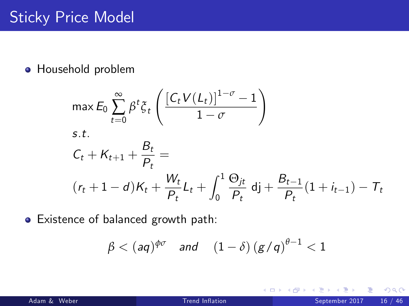# Sticky Price Model

Household problem

$$
\max \mathcal{E}_0 \sum_{t=0}^{\infty} \beta^t \xi_t \left( \frac{\left[ C_t V(L_t) \right]^{1-\sigma} - 1}{1 - \sigma} \right)
$$
  
s.t.  

$$
C_t + K_{t+1} + \frac{B_t}{P_t} =
$$

$$
(r_t + 1 - d)K_t + \frac{W_t}{P_t} L_t + \int_0^1 \frac{\Theta_{jt}}{P_t} df + \frac{B_{t-1}}{P_t} (1 + i_{t-1}) - T_t
$$

Existence of balanced growth path:

$$
\beta < (aq)^{\phi\sigma} \quad \text{and} \quad (1-\delta) (g/q)^{\theta-1} < 1
$$

4 0 8

-41

э

 $QQ$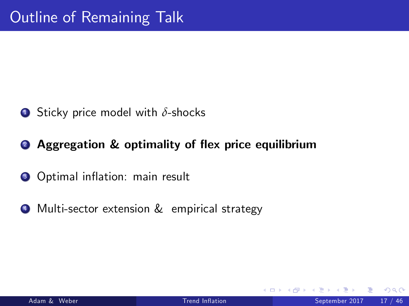- <sup>1</sup> Sticky price model with *δ*-shocks
- **2** Aggregation & optimality of flex price equilibrium
- <sup>3</sup> Optimal inflation: main result
- <sup>4</sup> Multi-sector extension & empirical strategy

 $\leftarrow$   $\Box$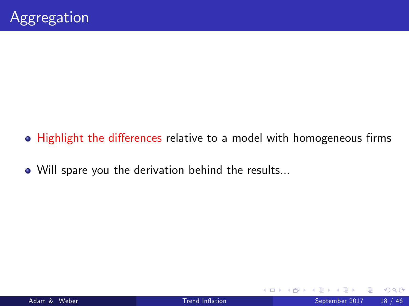- Highlight the differences relative to a model with homogeneous firms
- Will spare you the derivation behind the results...

4 0 8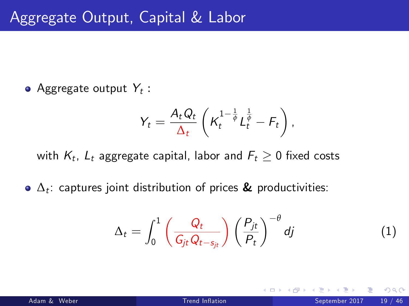Aggregate output  $\mathcal{Y}_t$  :

$$
Y_t = \frac{A_t Q_t}{\Delta_t} \left( K_t^{1-\frac{1}{\phi}} L_t^{\frac{1}{\phi}} - F_t \right),
$$

with  $K_t$ ,  $L_t$  aggregate capital, labor and  $F_t\geq 0$  fixed costs

 $\Delta_t$ : captures joint distribution of prices  $\boldsymbol{\&}$  productivities:

$$
\Delta_t = \int_0^1 \left( \frac{Q_t}{G_{jt} Q_{t - s_{jt}}} \right) \left( \frac{P_{jt}}{P_t} \right)^{-\theta} dj \tag{1}
$$

∢ □ ▶ ∢ <sub>□</sub> ▶ ∢ ∃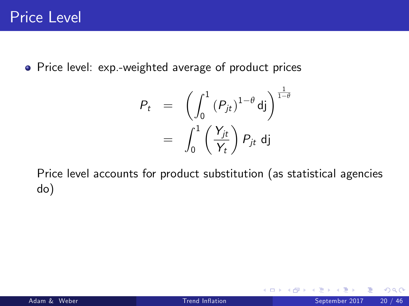• Price level: exp.-weighted average of product prices

$$
P_t = \left( \int_0^1 (P_{jt})^{1-\theta} d\mathbf{j} \right)^{\frac{1}{1-\theta}}
$$
  
= 
$$
\int_0^1 \left( \frac{Y_{jt}}{Y_t} \right) P_{jt} d\mathbf{j}
$$

Price level accounts for product substitution (as statistical agencies do)

4 0 8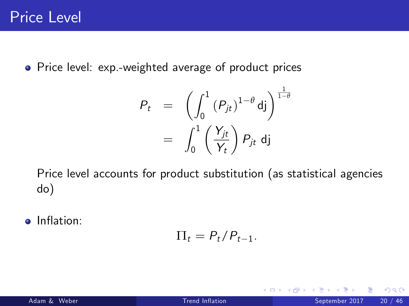• Price level: exp.-weighted average of product prices

$$
P_t = \left( \int_0^1 (P_{jt})^{1-\theta} d\mathbf{j} \right)^{\frac{1}{1-\theta}}
$$
  
= 
$$
\int_0^1 \left( \frac{Y_{jt}}{Y_t} \right) P_{jt} d\mathbf{j}
$$

Price level accounts for product substitution (as statistical agencies do)

o Inflation:

$$
\Pi_t = P_t/P_{t-1}.
$$

4 0 8

|  |  |  |  | Adam & Weber |  |
|--|--|--|--|--------------|--|
|--|--|--|--|--------------|--|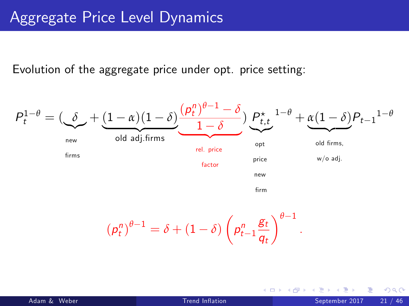Evolution of the aggregate price under opt. price setting:

$$
P_t^{1-\theta} = \underbrace{(\underbrace{\delta}_{\text{new}} + \underbrace{(1-\alpha)(1-\delta)}_{\text{old adj.firms}}\underbrace{\frac{(p_t^n)^{\theta-1}-\delta}{1-\delta}}_{\text{rel. price}})}_{\text{factor}} P_{\text{time}}^{*t} + \underbrace{\alpha(1-\delta)}_{\text{old firms, color}} P_{t-1}^{1-\theta}
$$

$$
\left(p_t^n\right)^{\theta-1} = \delta + \left(1-\delta\right) \left(p_{t-1}^n \frac{g_t}{q_t}\right)^{\theta-1}.
$$

画

**4 ロト 4 何 ト 4**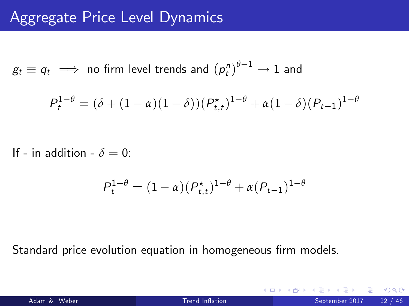$g_t \equiv q_t \implies$  no firm level trends and  $(p_t^n)^{\theta-1} \to 1$  and

$$
P_t^{1-\theta} = (\delta + (1-\alpha)(1-\delta))(P_{t,t}^{\star})^{1-\theta} + \alpha(1-\delta)(P_{t-1})^{1-\theta}
$$

If - in addition -  $\delta = 0$ :

$$
P_t^{1-\theta} = (1-\alpha)(P_{t,t}^*)^{1-\theta} + \alpha (P_{t-1})^{1-\theta}
$$

Standard price evolution equation in homogeneous firm models.

4 0 8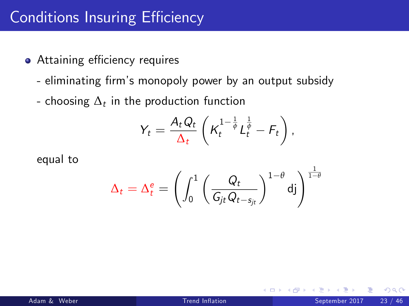### **Conditions Insuring Efficiency**

- Attaining efficiency requires
	- eliminating firm's monopoly power by an output subsidy
	- choosing  $\Delta_t$  in the production function

$$
Y_t = \frac{A_t Q_t}{\Delta_t} \left( K_t^{1-\frac{1}{\phi}} L_t^{\frac{1}{\phi}} - F_t \right),
$$

equal to

$$
\Delta_t = \Delta_t^e = \left(\int_0^1 \left(\frac{Q_t}{G_{jt} \, Q_{t-s_{jt}}} \right)^{1-\theta} \mathsf{d}{\mathsf{j}}\right)^{\frac{1}{1-\theta}}
$$

 $\leftarrow$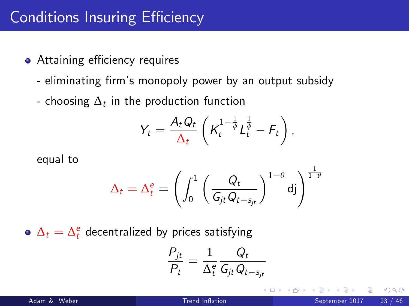## **Conditions Insuring Efficiency**

- Attaining efficiency requires
	- eliminating firm's monopoly power by an output subsidy
	- choosing  $\Delta_t$  in the production function

$$
Y_t = \frac{A_t Q_t}{\Delta_t} \left( K_t^{1-\frac{1}{\phi}} L_t^{\frac{1}{\phi}} - F_t \right),
$$

equal to

$$
\Delta_t = \Delta_t^e = \left(\int_0^1 \left(\frac{Q_t}{G_{jt}Q_{t-s_{jt}}}\right)^{1-\theta}dj\right)^{\frac{1}{1-\theta}}
$$

 $\Delta_t = \Delta_t^e$  decentralized by prices satisfying

$$
\frac{P_{jt}}{P_t} = \frac{1}{\Delta_t^e}\frac{Q_t}{G_{jt}Q_{t-s_{jt}}}
$$

4 0 8

つひひ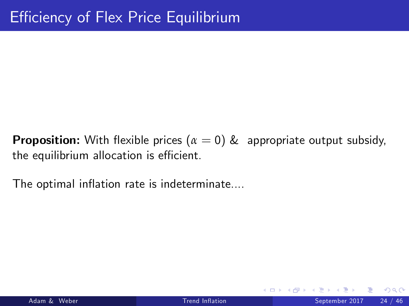**Proposition:** With flexible prices  $(\alpha = 0)$  & appropriate output subsidy, the equilibrium allocation is efficient.

The optimal inflation rate is indeterminate....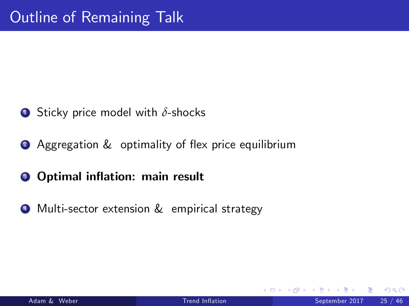- <sup>1</sup> Sticky price model with *δ*-shocks
- **2** Aggregation & optimality of flex price equilibrium
- <sup>3</sup> Optimal inflation: main result
- <sup>4</sup> Multi-sector extension & empirical strategy

4 0 8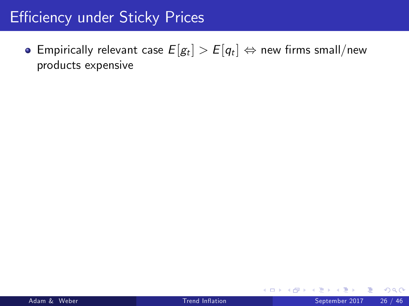Empirically relevant case  $E[g_t] > E[q_t] \Leftrightarrow$  new firms small/new products expensive

4 0 8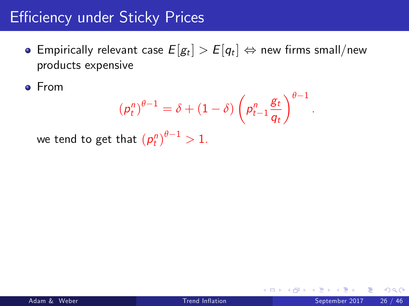Empirically relevant case  $E[g_t] > E[q_t] \Leftrightarrow$  new firms small/new products expensive

From

$$
\left(\rho_t^n\right)^{\theta-1} = \delta + (1-\delta) \left(\rho_{t-1}^n \frac{g_t}{q_t}\right)^{\theta-1}.
$$

we tend to get that  $\left(p_t^n\right)^{\theta-1} > 1$ .

4 0 8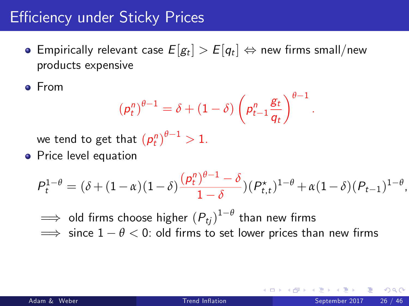Empirically relevant case  $E[g_t] > E[q_t] \Leftrightarrow$  new firms small/new products expensive

From

$$
\left(p_t^n\right)^{\theta-1} = \delta + \left(1-\delta\right) \left(p_{t-1}^n \frac{g_t}{q_t}\right)^{\theta-1}.
$$

we tend to get that  $\left(p_t^n\right)^{\theta-1} > 1$ .

• Price level equation

$$
P_t^{1-\theta} = (\delta + (1-\alpha)(1-\delta)\frac{(p_t^n)^{\theta-1} - \delta}{1-\delta})(P_{t,t}^{\star})^{1-\theta} + \alpha(1-\delta)(P_{t-1})^{1-\theta},
$$

- $\implies$  old firms choose higher  $\left(P_{tj}\right)^{1-\theta}$  than new firms
- $\implies$  since  $1 \theta < 0$ : old firms to set lower prices than new firms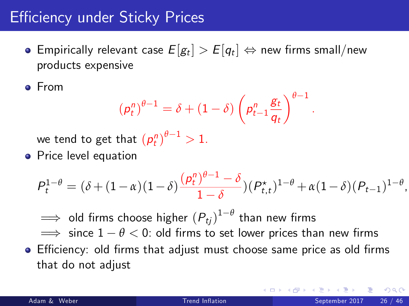Empirically relevant case  $E[g_t] > E[q_t] \Leftrightarrow$  new firms small/new products expensive

From

$$
\left(p_t^n\right)^{\theta-1} = \delta + \left(1-\delta\right) \left(p_{t-1}^n \frac{g_t}{q_t}\right)^{\theta-1}.
$$

we tend to get that  $\left(p_t^n\right)^{\theta-1} > 1$ .

• Price level equation

$$
P_t^{1-\theta} = (\delta + (1-\alpha)(1-\delta)\frac{(p_t^n)^{\theta-1} - \delta}{1-\delta})(P_{t,t}^{\star})^{1-\theta} + \alpha(1-\delta)(P_{t-1})^{1-\theta},
$$

 $\implies$  old firms choose higher  $\left(P_{tj}\right)^{1-\theta}$  than new firms

 $\implies$  since  $1 - \theta < 0$ : old firms to set lower prices than new firms

• Efficiency: old firms that adjust must choose same price as old firms that do not adjust

<span id="page-48-0"></span>つへへ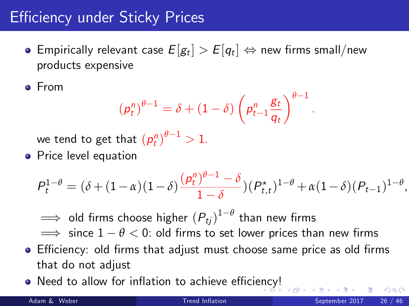Empirically relevant case  $E[g_t] > E[q_t] \Leftrightarrow$  new firms small/new products expensive

From

<span id="page-49-0"></span>
$$
\left(p_t^n\right)^{\theta-1} = \delta + \left(1-\delta\right) \left(p_{t-1}^n \frac{g_t}{q_t}\right)^{\theta-1}.
$$

we tend to get that  $\left(p_t^n\right)^{\theta-1} > 1$ .

• Price level equation

$$
P_t^{1-\theta} = (\delta + (1-\alpha)(1-\delta)\frac{(p_t^n)^{\theta-1} - \delta}{1-\delta})(P_{t,t}^{\star})^{1-\theta} + \alpha(1-\delta)(P_{t-1})^{1-\theta},
$$

 $\implies$  old firms choose higher  $\left(P_{tj}\right)^{1-\theta}$  than new firms

 $\implies$  since  $1 - \theta < 0$ : old firms to set lower prices than new firms

- Efficiency: old firms that adjust must choose same price as old firms that do not adjust
- Need to allow for inflation to achieve effici[enc](#page-48-0)[y!](#page-50-0)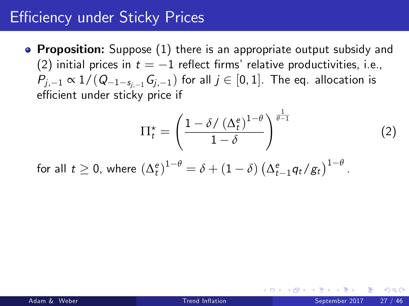• Proposition: Suppose (1) there is an appropriate output subsidy and (2) initial prices in  $t = -1$  reflect firms' relative productivities, i.e.,  $P_{i,-1} \propto 1/(Q_{-1-s_{i-1}}G_{i,-1})$  for all  $j \in [0, 1]$ . The eq. allocation is efficient under sticky price if

<span id="page-50-1"></span><span id="page-50-0"></span>
$$
\Pi_t^* = \left(\frac{1 - \delta / \left(\Delta_t^e\right)^{1-\theta}}{1-\delta}\right)^{\frac{1}{\theta-1}}\tag{2}
$$

for all  $t \geq 0$ , where  $(\Delta_t^e)^{1-\theta} = \delta + (1-\delta) (\Delta_{t-1}^e q_t/g_t)^{1-\theta}$ .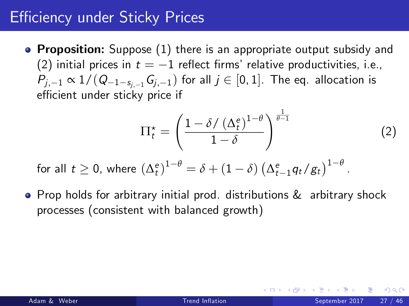• Proposition: Suppose (1) there is an appropriate output subsidy and (2) initial prices in  $t = -1$  reflect firms' relative productivities, i.e.,  $P_{i,-1} \propto 1/(Q_{-1-s_{i-1}}G_{i,-1})$  for all  $j \in [0, 1]$ . The eq. allocation is efficient under sticky price if

$$
\Pi_t^* = \left(\frac{1 - \delta / \left(\Delta_t^e\right)^{1-\theta}}{1-\delta}\right)^{\frac{1}{\theta-1}}\tag{2}
$$

for all  $t \geq 0$ , where  $(\Delta_t^e)^{1-\theta} = \delta + (1-\delta) (\Delta_{t-1}^e q_t/g_t)^{1-\theta}$ .

**•** Prop holds for arbitrary initial prod. distributions & arbitrary shock processes (consistent with balanced growth)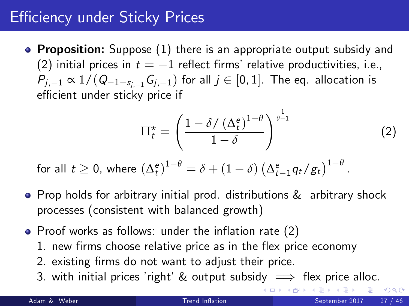• Proposition: Suppose (1) there is an appropriate output subsidy and (2) initial prices in  $t = -1$  reflect firms' relative productivities, i.e.,  $P_{i,-1} \propto 1/(Q_{-1-s_{i-1}}G_{i,-1})$  for all  $j \in [0, 1]$ . The eq. allocation is efficient under sticky price if

<span id="page-52-0"></span>
$$
\Pi_t^* = \left(\frac{1 - \delta / \left(\Delta_t^e\right)^{1-\theta}}{1-\delta}\right)^{\frac{1}{\theta-1}}\tag{2}
$$

for all  $t \geq 0$ , where  $(\Delta_t^e)^{1-\theta} = \delta + (1-\delta) (\Delta_{t-1}^e q_t/g_t)^{1-\theta}$ .

- **•** Prop holds for arbitrary initial prod. distributions & arbitrary shock processes (consistent with balanced growth)
- $\bullet$  Proof works as follows: under the inflation rate [\(2\)](#page-50-1)
	- 1. new firms choose relative price as in the flex price economy
	- 2. existing firms do not want to adjust their price.
	- 3. with initial prices 'right' & output subsidy  $\implies$  flex price alloc.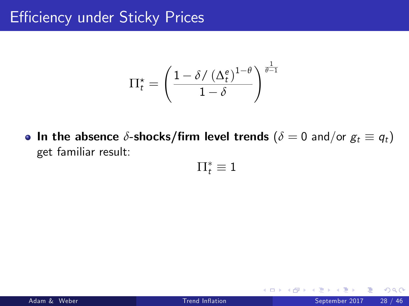$$
\Pi_t^{\star} = \left(\frac{1 - \delta / \left(\Delta_t^e\right)^{1-\theta}}{1-\delta}\right)^{\frac{1}{\theta-1}}
$$

• In the absence  $\delta$ -shocks/firm level trends ( $\delta = 0$  and/or  $g_t \equiv q_t$ ) get familiar result:

$$
\Pi_t^*\equiv 1
$$

<span id="page-53-0"></span>4 D F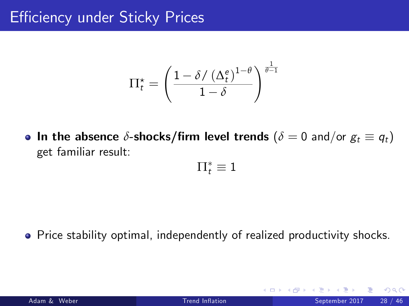$$
\Pi_t^{\star} = \left(\frac{1 - \delta / \left(\Delta_t^e\right)^{1-\theta}}{1-\delta}\right)^{\frac{1}{\theta-1}}
$$

• In the absence  $\delta$ -shocks/firm level trends ( $\delta = 0$  and/or  $g_t \equiv q_t$ ) get familiar result:

$$
\Pi_t^*\equiv 1
$$

• Price stability optimal, independently of realized productivity shocks.

4 0 8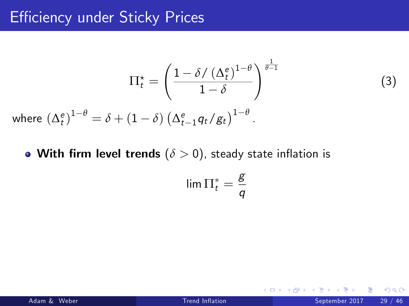$$
\Pi_t^* = \left(\frac{1 - \delta / \left(\Delta_t^e\right)^{1-\theta}}{1-\delta}\right)^{\frac{1}{\theta-1}}
$$
\nwhere

\n
$$
\left(\Delta_t^e\right)^{1-\theta} = \delta + (1-\delta) \left(\Delta_{t-1}^e q_t / g_t\right)^{1-\theta}.
$$
\n(3)

• With firm level trends  $(\delta > 0)$ , steady state inflation is

$$
\lim \Pi_t^* = \frac{g}{q}
$$

4 0 8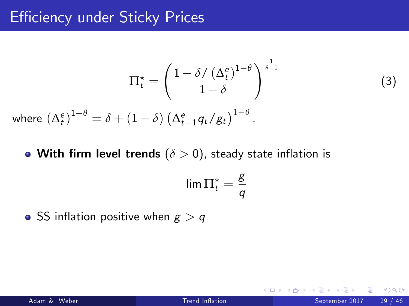$$
\Pi_t^\star = \left(\frac{1 - \delta / \left(\Delta_t^e\right)^{1-\theta}}{1-\delta}\right)^{\frac{1}{\theta-1}}
$$
\nwhere  $\left(\Delta_t^e\right)^{1-\theta} = \delta + (1-\delta) \left(\Delta_{t-1}^e q_t / g_t\right)^{1-\theta}$ .

• With firm level trends  $(\delta > 0)$ , steady state inflation is

$$
\lim \Pi_t^* = \frac{g}{q}
$$

• SS inflation positive when  $g > q$ 

4 0 8

 $200$ 

(3)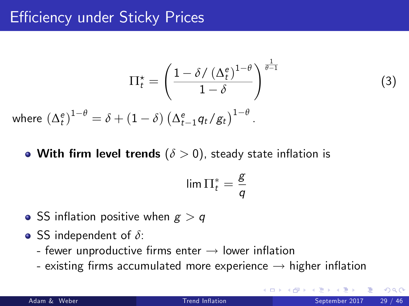$$
\Pi_t^\star = \left(\frac{1-\delta/\left(\Delta_t^{\mathrm{e}}\right)^{1-\theta}}{1-\delta}\right)^{\frac{1}{\theta-1}}
$$

where  $(\Delta_t^e)^{1-\theta} = \delta + (1-\delta) (\Delta_{t-1}^e q_t/g_t)^{1-\theta}$ .

• With firm level trends  $(\delta > 0)$ , steady state inflation is

$$
\lim \Pi_t^* = \frac{g}{q}
$$

- SS inflation positive when  $g > q$
- SS independent of *δ*:
	- fewer unproductive firms enter  $\rightarrow$  lower inflation
	- existing firms accumulated more experience  $\rightarrow$  higher inflation

 $200$ 

(3)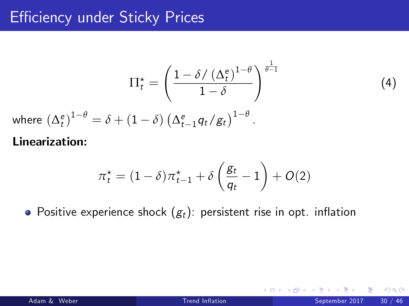$$
\Pi_t^{\star} = \left(\frac{1 - \delta / \left(\Delta_t^e\right)^{1-\theta}}{1-\delta}\right)^{\frac{1}{\theta-1}} \tag{4}
$$

where  $(\Delta_t^e)^{1-\theta} = \delta + (1-\delta) (\Delta_{t-1}^e q_t/g_t)^{1-\theta}$ .

#### Linearization:

$$
\pi^\star_t = (1-\delta)\pi^\star_{t-1} + \delta\left(\frac{g_t}{q_t} - 1\right) + O(2)
$$

• Positive experience shock  $(g_t)$ : persistent rise in opt. inflation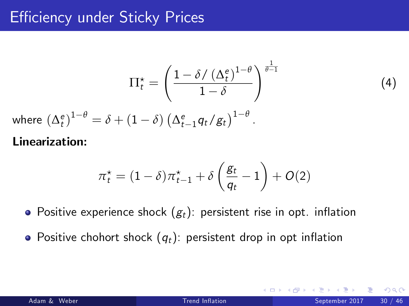$$
\Pi_t^\star = \left(\frac{1-\delta/\left(\Delta_t^{\textrm{e}}\right)^{1-\theta}}{1-\delta}\right)^{\frac{1}{\theta-1}}
$$

where  $(\Delta_t^e)^{1-\theta} = \delta + (1-\delta) (\Delta_{t-1}^e q_t/g_t)^{1-\theta}$ .

#### Linearization:

$$
\pi^\star_t = (1-\delta)\pi^\star_{t-1} + \delta\left(\frac{g_t}{q_t} - 1\right) + O(2)
$$

• Positive experience shock  $(g_t)$ : persistent rise in opt. inflation

• Positive chohort shock  $(q_t)$ : persistent drop in opt inflation

つへへ

(4)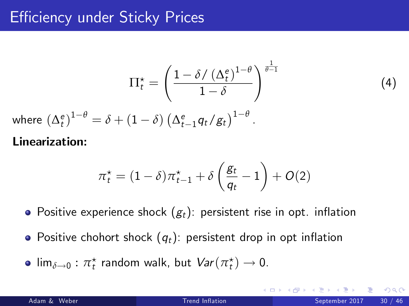$$
\Pi_t^\star = \left(\frac{1-\delta/\left(\Delta_t^e\right)^{1-\theta}}{1-\delta}\right)^{\frac{1}{\theta-1}}
$$

where  $(\Delta_t^e)^{1-\theta} = \delta + (1-\delta) (\Delta_{t-1}^e q_t/g_t)^{1-\theta}$ .

#### Linearization:

$$
\pi^\star_t = (1-\delta)\pi^\star_{t-1} + \delta\left(\frac{g_t}{q_t} - 1\right) + O(2)
$$

• Positive experience shock  $(g_t)$ : persistent rise in opt. inflation

- Positive chohort shock  $(q_t)$ : persistent drop in opt inflation
- $\lim_{\delta \to 0} : \pi_t^*$  random walk, but  $Var(\pi_t^*) \to 0$ .

 $\Omega$ 

(4)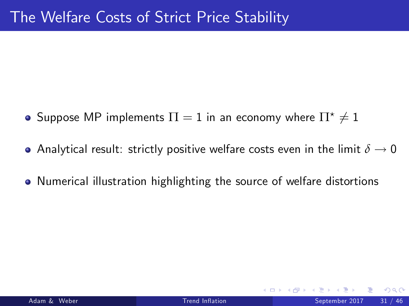- Suppose MP implements  $\Pi = 1$  in an economy where  $\Pi^* \neq 1$
- $\bullet$  Analytical result: strictly positive welfare costs even in the limit  $\delta \rightarrow 0$
- Numerical illustration highlighting the source of welfare distortions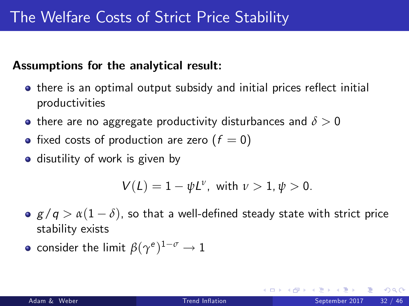#### Assumptions for the analytical result:

- there is an optimal output subsidy and initial prices reflect initial productivities
- **o** there are no aggregate productivity disturbances and  $\delta > 0$
- fixed costs of production are zero  $(f = 0)$
- disutility of work is given by

$$
V(L) = 1 - \psi L^{\nu}, \text{ with } \nu > 1, \psi > 0.
$$

- $g/q > \alpha(1-\delta)$ , so that a well-defined steady state with strict price stability exists
- consider the limit  $\beta(\gamma^e)^{1-\sigma} \to 1$

つへへ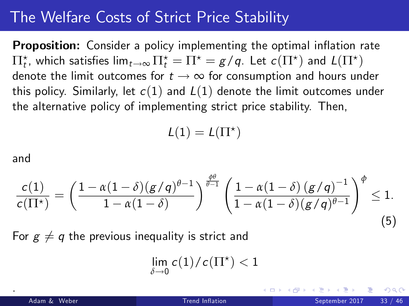#### The Welfare Costs of Strict Price Stability

**Proposition:** Consider a policy implementing the optimal inflation rate  $\Pi^\star_t$ , which satisfies  $\lim_{t\to\infty} \Pi^\star_t = \Pi^\star = g/q$ . Let  $c(\Pi^\star)$  and  $L(\Pi^\star)$ denote the limit outcomes for  $t \to \infty$  for consumption and hours under this policy. Similarly, let  $c(1)$  and  $L(1)$  denote the limit outcomes under the alternative policy of implementing strict price stability. Then,

$$
\mathit{L}(1)=\mathit{L}(\Pi^\star)
$$

and

.

$$
\frac{c(1)}{c(\Pi^*)} = \left(\frac{1-\alpha(1-\delta)(g/q)^{\theta-1}}{1-\alpha(1-\delta)}\right)^{\frac{\theta\theta}{\theta-1}} \left(\frac{1-\alpha(1-\delta)(g/q)^{-1}}{1-\alpha(1-\delta)(g/q)^{\theta-1}}\right)^{\phi} \le 1.
$$
\n(5)

For  $g \neq q$  the previous inequality is strict and

$$
\lim_{\delta\to 0}c(1)/c(\Pi^\star)<1
$$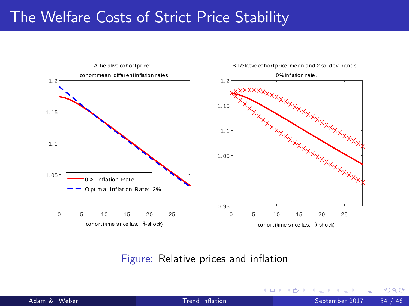### The Welfare Costs of Strict Price Stability



Figure: Relative prices and inflation

4 0 8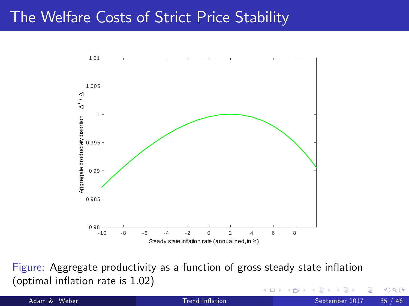#### The Welfare Costs of Strict Price Stability



Figure: Aggregate productivity as a function of gross steady state inflation  $($ optimal inflation rate is  $1.02)$ 

Adam & Weber (Uni[versity of Mannh](#page-0-0)eim Bundesbank ) Trend Inflation September 2017 - 35 / 46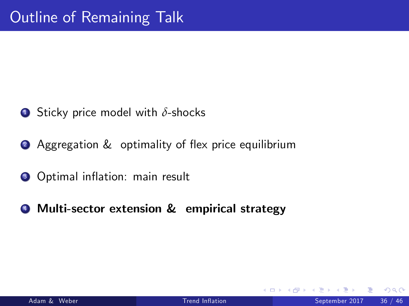- <sup>1</sup> Sticky price model with *δ*-shocks
- **2** Aggregation & optimality of flex price equilibrium
- <sup>3</sup> Optimal inflation: main result
- <sup>4</sup> Multi-sector extension & empirical strategy

4 0 8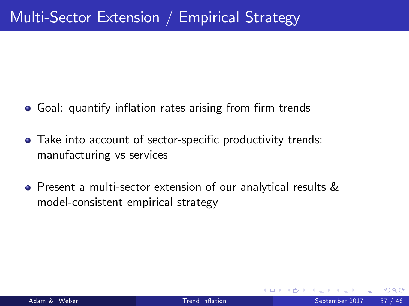- Goal: quantify inflation rates arising from firm trends
- Take into account of sector-specific productivity trends: manufacturing vs services
- Present a multi-sector extension of our analytical results & model-consistent empirical strategy

つひひ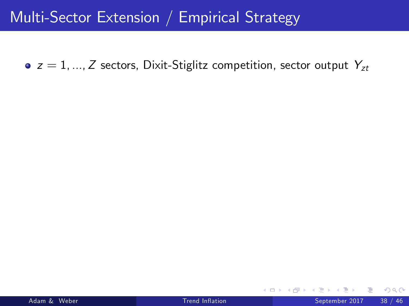$\bullet$  z = 1, ..., Z sectors, Dixit-Stiglitz competition, sector output  $Y_{zt}$ 

4 0 8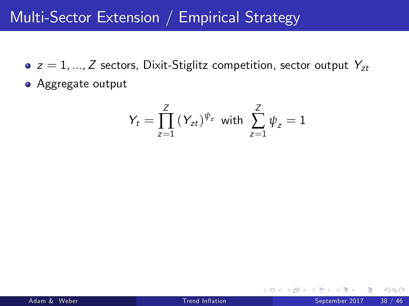- $\bullet$  z = 1, ..., Z sectors, Dixit-Stiglitz competition, sector output  $Y_{zt}$
- **•** Aggregate output

$$
Y_t = \prod_{z=1}^{Z} (Y_{zt})^{\psi_z} \text{ with } \sum_{z=1}^{Z} \psi_z = 1
$$

4 0 8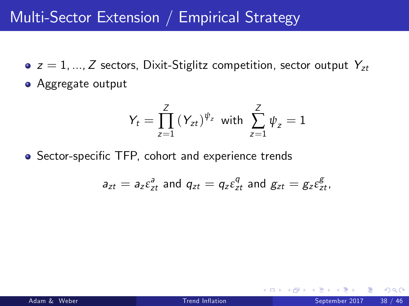$\bullet$  z = 1, ..., Z sectors, Dixit-Stiglitz competition, sector output  $Y_{zt}$ **•** Aggregate output

$$
Y_t = \prod_{z=1}^{Z} (Y_{zt})^{\psi_z} \text{ with } \sum_{z=1}^{Z} \psi_z = 1
$$

• Sector-specific TFP, cohort and experience trends

$$
a_{zt} = a_z \varepsilon_{zt}^a
$$
 and 
$$
q_{zt} = q_z \varepsilon_{zt}^q
$$
 and 
$$
g_{zt} = g_z \varepsilon_{zt}^g
$$
,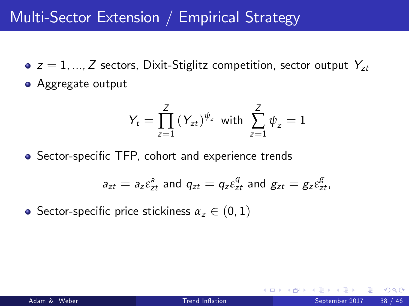$\bullet$  z = 1, ..., Z sectors, Dixit-Stiglitz competition, sector output  $Y_{zt}$ **•** Aggregate output

$$
Y_t = \prod_{z=1}^{Z} (Y_{zt})^{\psi_z} \text{ with } \sum_{z=1}^{Z} \psi_z = 1
$$

• Sector-specific TFP, cohort and experience trends

$$
a_{zt}=a_{z}\varepsilon_{zt}^{a} \text{ and } q_{zt}=q_{z}\varepsilon_{zt}^{q} \text{ and } g_{zt}=g_{z}\varepsilon_{zt}^{g},
$$

Sector-specific price stickiness  $\alpha_z \in (0, 1)$ 

つひひ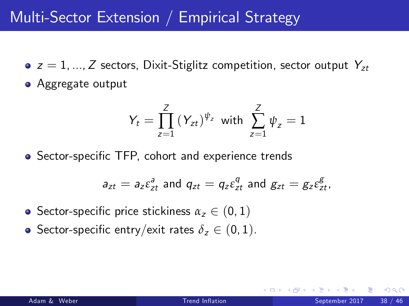$\bullet$  z = 1, ..., Z sectors, Dixit-Stiglitz competition, sector output  $Y_{zt}$ • Aggregate output

$$
Y_t = \prod_{z=1}^{Z} (Y_{zt})^{\psi_z} \text{ with } \sum_{z=1}^{Z} \psi_z = 1
$$

• Sector-specific TFP, cohort and experience trends

$$
a_{zt}=a_{z}\varepsilon_{zt}^{a} \text{ and } q_{zt}=q_{z}\varepsilon_{zt}^{q} \text{ and } g_{zt}=g_{z}\varepsilon_{zt}^{g},
$$

- Sector-specific price stickiness  $\alpha_z \in (0, 1)$
- Sector-specific entry/exit rates  $\delta_z \in (0, 1)$ .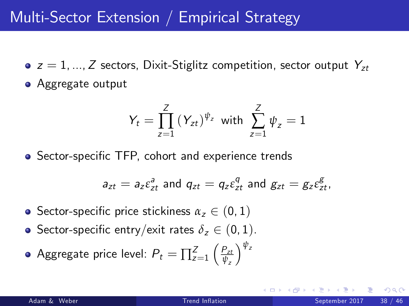$\bullet$  z = 1, ..., Z sectors, Dixit-Stiglitz competition, sector output  $Y_{zt}$ • Aggregate output

$$
Y_t = \prod_{z=1}^{Z} (Y_{zt})^{\psi_z} \text{ with } \sum_{z=1}^{Z} \psi_z = 1
$$

• Sector-specific TFP, cohort and experience trends

$$
a_{zt}=a_{z}\varepsilon_{zt}^{a} \text{ and } q_{zt}=q_{z}\varepsilon_{zt}^{q} \text{ and } g_{zt}=g_{z}\varepsilon_{zt}^{g},
$$

- **•** Sector-specific price stickiness  $\alpha_z \in (0, 1)$
- Sector-specific entry/exit rates  $\delta_z \in (0, 1)$ .

Aggregate price level:  $P_t = \prod_{z=1}^Z$  $\left(\frac{P_{zt}}{P_{zt}}\right)$ *ψ*z *ψ*<sup>z</sup>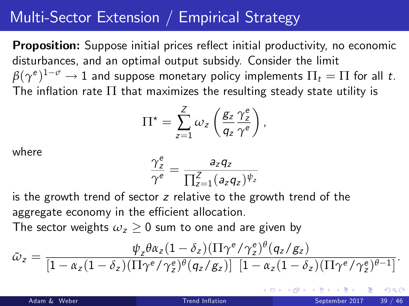**Proposition:** Suppose initial prices reflect initial productivity, no economic disturbances, and an optimal output subsidy. Consider the limit  $β(γ<sup>e</sup>)<sup>1-σ</sup> → 1$  and suppose monetary policy implements  $\Pi_t = \Pi$  for all  $t$ . The inflation rate  $\Pi$  that maximizes the resulting steady state utility is

$$
\Pi^{\star} = \sum_{z=1}^{Z} \omega_z \left( \frac{g_z}{q_z} \frac{\gamma_z^e}{\gamma^e} \right),
$$

where

$$
\frac{\gamma_z^e}{\gamma^e} = \frac{a_z q_z}{\prod_{z=1}^Z (a_z q_z)^{\psi_z}}
$$

is the growth trend of sector z relative to the growth trend of the aggregate economy in the efficient allocation.

The sector weights  $\omega_z > 0$  sum to one and are given by

$$
\tilde{\omega}_z = \frac{\psi_z \theta \alpha_z (1-\delta_z) (\Pi \gamma^e / \gamma_z^e)^{\theta} (q_z/g_z)}{[1 - \alpha_z (1 - \delta_z) (\Pi \gamma^e / \gamma_z^e)^{\theta} (q_z/g_z)] [1 - \alpha_z (1 - \delta_z) (\Pi \gamma^e / \gamma_z^e)^{\theta - 1}]}.
$$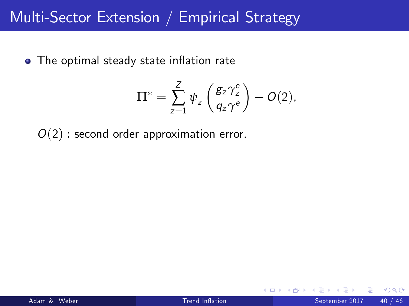• The optimal steady state inflation rate

$$
\Pi^* = \sum_{z=1}^Z \psi_z \left( \frac{g_z \gamma_z^e}{q_z \gamma^e} \right) + O(2),
$$

 $O(2)$  : second order approximation error.

 $\leftarrow$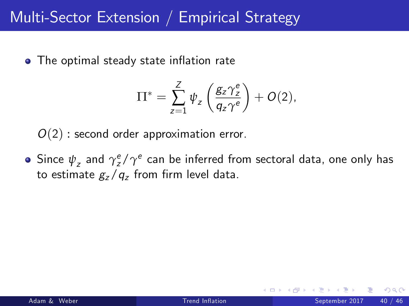• The optimal steady state inflation rate

$$
\Pi^* = \sum_{z=1}^Z \psi_z \left( \frac{g_z \gamma_z^e}{q_z \gamma^e} \right) + O(2),
$$

 $O(2)$  : second order approximation error.

Since  $\psi_z$  and  $\gamma_z^e/\gamma^e$  can be inferred from sectoral data, one only has to estimate  $g_z/q_z$  from firm level data.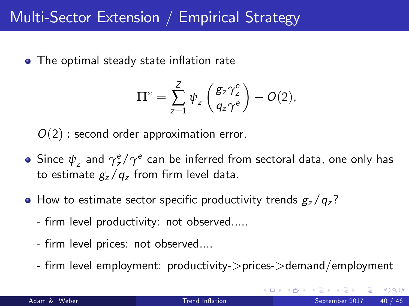• The optimal steady state inflation rate

$$
\Pi^* = \sum_{z=1}^Z \psi_z \left( \frac{g_z \gamma_z^e}{q_z \gamma^e} \right) + O(2),
$$

 $O(2)$  : second order approximation error.

- Since  $\psi_z$  and  $\gamma_z^e/\gamma^e$  can be inferred from sectoral data, one only has to estimate  $g_z/q_z$  from firm level data.
- $\bullet$  How to estimate sector specific productivity trends  $g_z/q_z$ ?
	- firm level productivity: not observed.....
	- firm level prices: not observed....
	- firm level employment: productivity->prices->demand/employment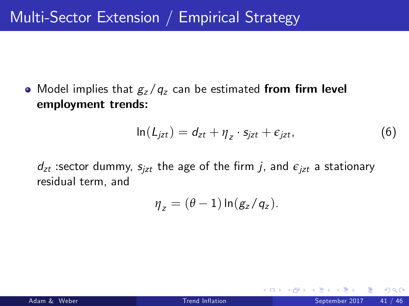• Model implies that  $g_z/q_z$  can be estimated from firm level employment trends:

$$
\ln(L_{jzt}) = d_{zt} + \eta_z \cdot s_{jzt} + \epsilon_{jzt}, \qquad (6)
$$

 $d_{zt}$  :sector dummy,  $s_{izt}$  the age of the firm j, and  $\epsilon_{izt}$  a stationary residual term, and

$$
\eta_z = (\theta - 1) \ln(g_z / q_z).
$$

つひい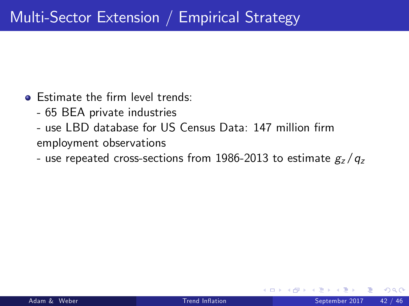- **•** Estimate the firm level trends:
	- 65 BEA private industries
	- use LBD database for US Census Data: 147 million firm employment observations
	- use repeated cross-sections from 1986-2013 to estimate  $g<sub>z</sub>/g<sub>z</sub>$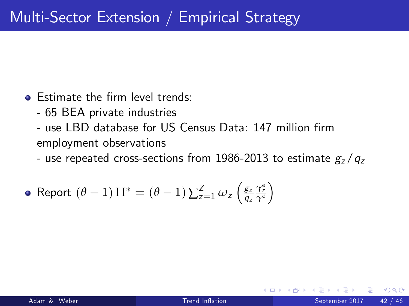- **•** Estimate the firm level trends:
	- 65 BEA private industries
	- use LBD database for US Census Data: 147 million firm employment observations
	- use repeated cross-sections from 1986-2013 to estimate  $g<sub>z</sub>/g<sub>z</sub>$

• Report 
$$
(\theta - 1) \Pi^* = (\theta - 1) \sum_{z=1}^{Z} \omega_z \left( \frac{g_z}{q_z} \frac{\gamma_z^e}{\gamma^e} \right)
$$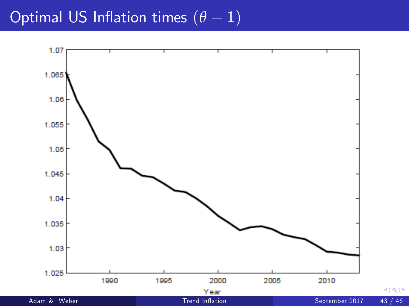# Optimal US Inflation times  $(\theta - 1)$

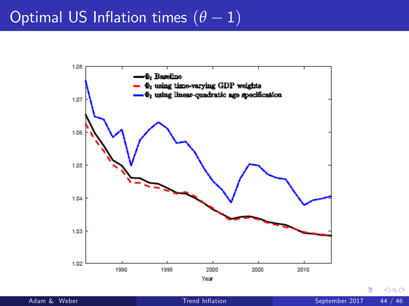# Optimal US Inflation times  $(\theta - 1)$



Ξ

 $QQ$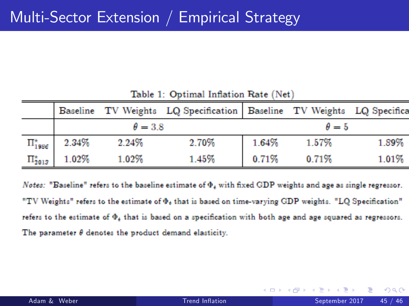Table 1: Optimal Inflation Rate (Net)

|                      |                            |          | Baseline TV Weights LQ Specification Baseline TV Weights LQ Specifica |              |          |       |
|----------------------|----------------------------|----------|-----------------------------------------------------------------------|--------------|----------|-------|
|                      | $\theta = 3.8$             |          |                                                                       | $\theta = 5$ |          |       |
|                      | $\Pi_{1986}^{\star}$ 2.34% | 2.24%    | 2.70%                                                                 | 1.64%        | $1.57\%$ | 1.89% |
| $\Pi_{2013}^{\star}$ | $1.02\%$                   | $1.02\%$ | 1.45%                                                                 | 0.71%        | 0.71%    | 1.01% |

Notes: "Baseline" refers to the baseline estimate of  $\Phi_t$  with fixed GDP weights and age as single regressor. "TV Weights" refers to the estimate of  $\Phi_4$  that is based on time-varying GDP weights. "LQ Specification" refers to the estimate of  $\Phi_t$  that is based on a specification with both age and age squared as regressors. The parameter  $\theta$  denotes the product demand elasticity.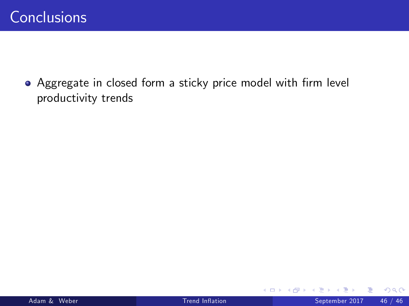• Aggregate in closed form a sticky price model with firm level productivity trends

 $\Omega$ 

**← ロ → → ← 何 →**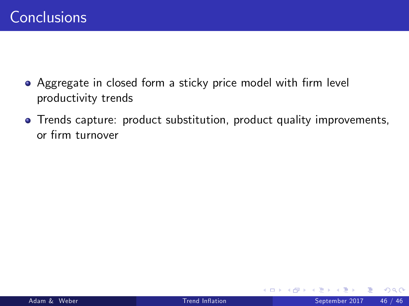- Aggregate in closed form a sticky price model with firm level productivity trends
- Trends capture: product substitution, product quality improvements, or Örm turnover

4 0 8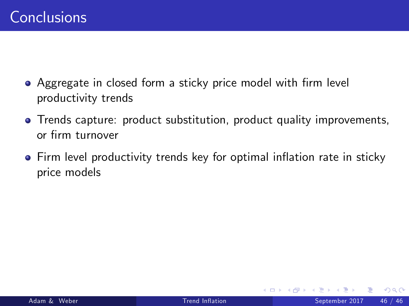- Aggregate in closed form a sticky price model with firm level productivity trends
- Trends capture: product substitution, product quality improvements, or firm turnover
- Firm level productivity trends key for optimal inflation rate in sticky price models

4 0 8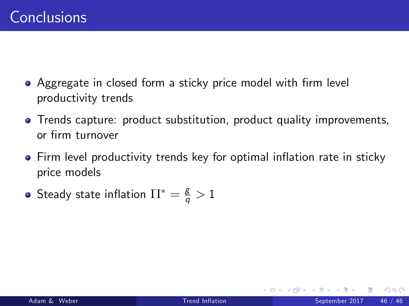- Aggregate in closed form a sticky price model with firm level productivity trends
- Trends capture: product substitution, product quality improvements, or firm turnover
- Firm level productivity trends key for optimal inflation rate in sticky price models
- Steady state inflation  $\Pi^* = \frac{\mathcal{g}}{q} > 1$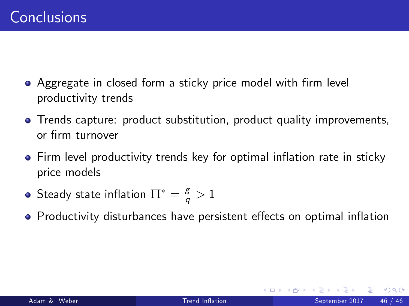- Aggregate in closed form a sticky price model with firm level productivity trends
- Trends capture: product substitution, product quality improvements, or firm turnover
- Firm level productivity trends key for optimal inflation rate in sticky price models
- Steady state inflation  $\Pi^* = \frac{\mathcal{g}}{q} > 1$
- Productivity disturbances have persistent effects on optimal inflation

 $200$